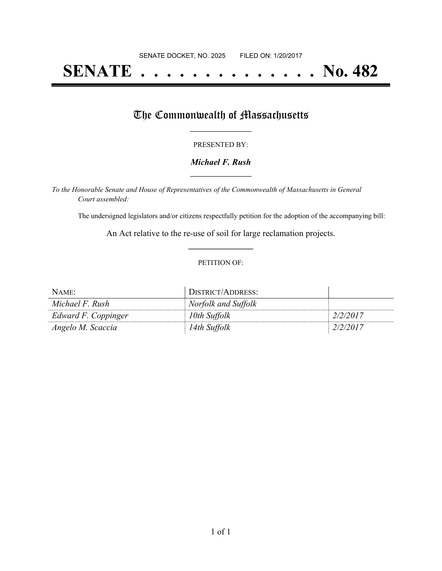# **SENATE . . . . . . . . . . . . . . No. 482**

## The Commonwealth of Massachusetts

#### PRESENTED BY:

#### *Michael F. Rush* **\_\_\_\_\_\_\_\_\_\_\_\_\_\_\_\_\_**

*To the Honorable Senate and House of Representatives of the Commonwealth of Massachusetts in General Court assembled:*

The undersigned legislators and/or citizens respectfully petition for the adoption of the accompanying bill:

An Act relative to the re-use of soil for large reclamation projects. **\_\_\_\_\_\_\_\_\_\_\_\_\_\_\_**

#### PETITION OF:

| NAME:               | DISTRICT/ADDRESS:   |          |
|---------------------|---------------------|----------|
| Michael F. Rush     | Norfolk and Suffolk |          |
| Edward F. Coppinger | 10th Suffolk        | 2/2/2017 |
| Angelo M. Scaccia   | 14th Suffolk        | 2/2/2017 |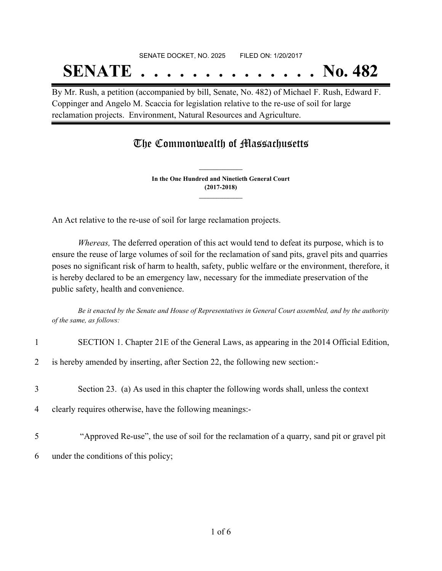## SENATE DOCKET, NO. 2025 FILED ON: 1/20/2017 **SENATE . . . . . . . . . . . . . . No. 482**

By Mr. Rush, a petition (accompanied by bill, Senate, No. 482) of Michael F. Rush, Edward F. Coppinger and Angelo M. Scaccia for legislation relative to the re-use of soil for large reclamation projects. Environment, Natural Resources and Agriculture.

### The Commonwealth of Massachusetts

**In the One Hundred and Ninetieth General Court (2017-2018) \_\_\_\_\_\_\_\_\_\_\_\_\_\_\_**

**\_\_\_\_\_\_\_\_\_\_\_\_\_\_\_**

An Act relative to the re-use of soil for large reclamation projects.

*Whereas,* The deferred operation of this act would tend to defeat its purpose, which is to ensure the reuse of large volumes of soil for the reclamation of sand pits, gravel pits and quarries poses no significant risk of harm to health, safety, public welfare or the environment, therefore, it is hereby declared to be an emergency law, necessary for the immediate preservation of the public safety, health and convenience.

Be it enacted by the Senate and House of Representatives in General Court assembled, and by the authority *of the same, as follows:*

|                | SECTION 1. Chapter 21E of the General Laws, as appearing in the 2014 Official Edition,     |
|----------------|--------------------------------------------------------------------------------------------|
| $\overline{2}$ | is hereby amended by inserting, after Section 22, the following new section:-              |
| 3              | Section 23. (a) As used in this chapter the following words shall, unless the context      |
| $\overline{4}$ | clearly requires otherwise, have the following meanings:-                                  |
| 5              | "Approved Re-use", the use of soil for the reclamation of a quarry, sand pit or gravel pit |
| 6              | under the conditions of this policy;                                                       |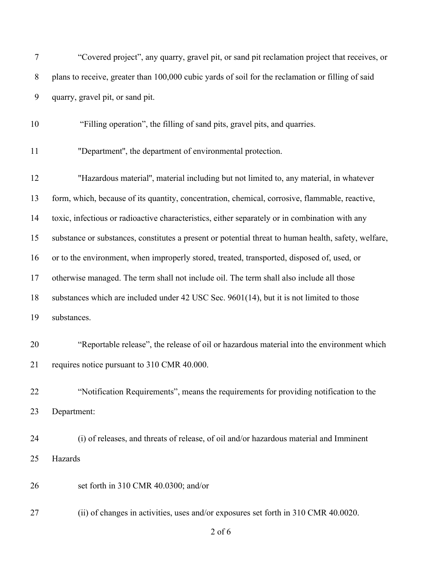| 7     | "Covered project", any quarry, gravel pit, or sand pit reclamation project that receives, or         |
|-------|------------------------------------------------------------------------------------------------------|
| $8\,$ | plans to receive, greater than 100,000 cubic yards of soil for the reclamation or filling of said    |
| 9     | quarry, gravel pit, or sand pit.                                                                     |
| 10    | "Filling operation", the filling of sand pits, gravel pits, and quarries.                            |
| 11    | "Department", the department of environmental protection.                                            |
| 12    | "Hazardous material", material including but not limited to, any material, in whatever               |
| 13    | form, which, because of its quantity, concentration, chemical, corrosive, flammable, reactive,       |
| 14    | toxic, infectious or radioactive characteristics, either separately or in combination with any       |
| 15    | substance or substances, constitutes a present or potential threat to human health, safety, welfare, |
| 16    | or to the environment, when improperly stored, treated, transported, disposed of, used, or           |
| 17    | otherwise managed. The term shall not include oil. The term shall also include all those             |
| 18    | substances which are included under 42 USC Sec. 9601(14), but it is not limited to those             |
| 19    | substances.                                                                                          |
| 20    | "Reportable release", the release of oil or hazardous material into the environment which            |
| 21    | requires notice pursuant to 310 CMR 40.000.                                                          |
| 22    | "Notification Requirements", means the requirements for providing notification to the                |
| 23    | Department:                                                                                          |
| 24    | (i) of releases, and threats of release, of oil and/or hazardous material and Imminent               |
| 25    | Hazards                                                                                              |
| 26    | set forth in 310 CMR 40.0300; and/or                                                                 |
| 27    | (ii) of changes in activities, uses and/or exposures set forth in 310 CMR 40.0020.                   |
|       | $2$ of $6$                                                                                           |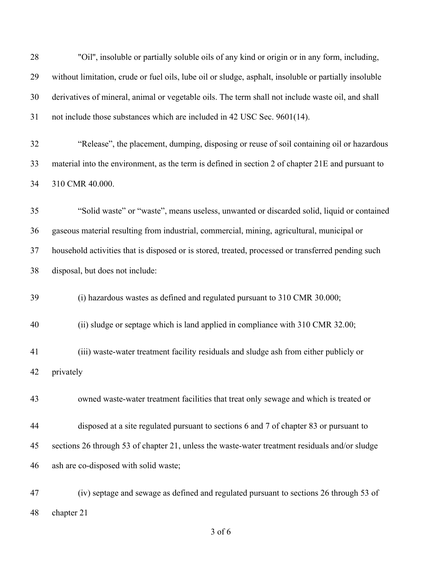| 28 | "Oil", insoluble or partially soluble oils of any kind or origin or in any form, including,           |
|----|-------------------------------------------------------------------------------------------------------|
| 29 | without limitation, crude or fuel oils, lube oil or sludge, asphalt, insoluble or partially insoluble |
| 30 | derivatives of mineral, animal or vegetable oils. The term shall not include waste oil, and shall     |
| 31 | not include those substances which are included in 42 USC Sec. 9601(14).                              |
| 32 | "Release", the placement, dumping, disposing or reuse of soil containing oil or hazardous             |
| 33 | material into the environment, as the term is defined in section 2 of chapter 21E and pursuant to     |
| 34 | 310 CMR 40.000.                                                                                       |
| 35 | "Solid waste" or "waste", means useless, unwanted or discarded solid, liquid or contained             |
| 36 | gaseous material resulting from industrial, commercial, mining, agricultural, municipal or            |
| 37 | household activities that is disposed or is stored, treated, processed or transferred pending such    |
| 38 | disposal, but does not include:                                                                       |
| 39 | (i) hazardous wastes as defined and regulated pursuant to 310 CMR 30.000;                             |
| 40 | (ii) sludge or septage which is land applied in compliance with 310 CMR 32.00;                        |
| 41 | (iii) waste-water treatment facility residuals and sludge ash from either publicly or                 |
| 42 | privately                                                                                             |
| 43 | owned waste-water treatment facilities that treat only sewage and which is treated or                 |
| 44 | disposed at a site regulated pursuant to sections 6 and 7 of chapter 83 or pursuant to                |
| 45 | sections 26 through 53 of chapter 21, unless the waste-water treatment residuals and/or sludge        |
| 46 | ash are co-disposed with solid waste;                                                                 |
| 47 | (iv) septage and sewage as defined and regulated pursuant to sections 26 through 53 of                |
| 48 | chapter 21                                                                                            |

of 6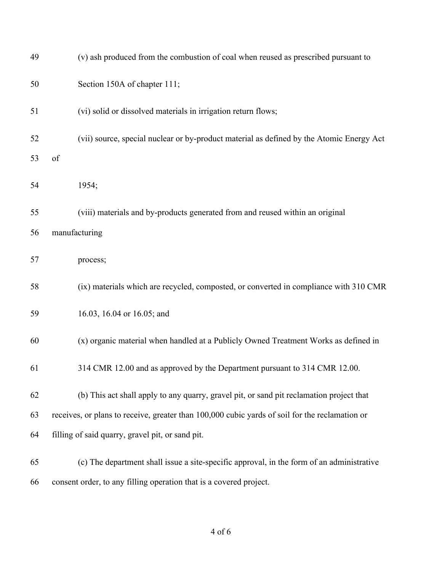| 49 | (v) ash produced from the combustion of coal when reused as prescribed pursuant to             |
|----|------------------------------------------------------------------------------------------------|
| 50 | Section 150A of chapter 111;                                                                   |
| 51 | (vi) solid or dissolved materials in irrigation return flows;                                  |
| 52 | (vii) source, special nuclear or by-product material as defined by the Atomic Energy Act       |
| 53 | of                                                                                             |
| 54 | 1954;                                                                                          |
| 55 | (viii) materials and by-products generated from and reused within an original                  |
| 56 | manufacturing                                                                                  |
| 57 | process;                                                                                       |
| 58 | (ix) materials which are recycled, composted, or converted in compliance with 310 CMR          |
| 59 | 16.03, 16.04 or 16.05; and                                                                     |
| 60 | (x) organic material when handled at a Publicly Owned Treatment Works as defined in            |
| 61 | 314 CMR 12.00 and as approved by the Department pursuant to 314 CMR 12.00.                     |
| 62 | (b) This act shall apply to any quarry, gravel pit, or sand pit reclamation project that       |
| 63 | receives, or plans to receive, greater than 100,000 cubic yards of soil for the reclamation or |
| 64 | filling of said quarry, gravel pit, or sand pit.                                               |
| 65 | (c) The department shall issue a site-specific approval, in the form of an administrative      |
| 66 | consent order, to any filling operation that is a covered project.                             |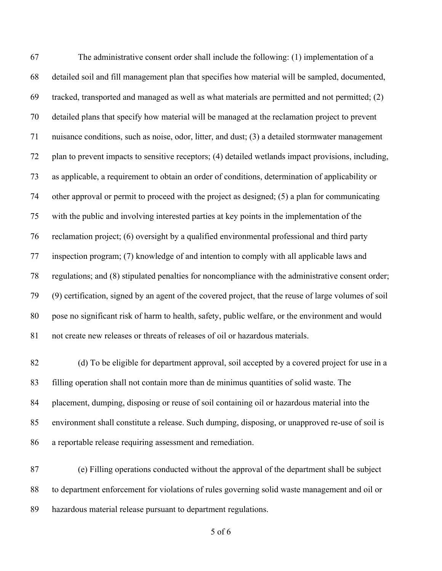The administrative consent order shall include the following: (1) implementation of a detailed soil and fill management plan that specifies how material will be sampled, documented, tracked, transported and managed as well as what materials are permitted and not permitted; (2) detailed plans that specify how material will be managed at the reclamation project to prevent nuisance conditions, such as noise, odor, litter, and dust; (3) a detailed stormwater management plan to prevent impacts to sensitive receptors; (4) detailed wetlands impact provisions, including, as applicable, a requirement to obtain an order of conditions, determination of applicability or other approval or permit to proceed with the project as designed; (5) a plan for communicating with the public and involving interested parties at key points in the implementation of the reclamation project; (6) oversight by a qualified environmental professional and third party inspection program; (7) knowledge of and intention to comply with all applicable laws and regulations; and (8) stipulated penalties for noncompliance with the administrative consent order; (9) certification, signed by an agent of the covered project, that the reuse of large volumes of soil pose no significant risk of harm to health, safety, public welfare, or the environment and would not create new releases or threats of releases of oil or hazardous materials.

 (d) To be eligible for department approval, soil accepted by a covered project for use in a filling operation shall not contain more than de minimus quantities of solid waste. The placement, dumping, disposing or reuse of soil containing oil or hazardous material into the environment shall constitute a release. Such dumping, disposing, or unapproved re-use of soil is a reportable release requiring assessment and remediation.

 (e) Filling operations conducted without the approval of the department shall be subject to department enforcement for violations of rules governing solid waste management and oil or hazardous material release pursuant to department regulations.

of 6